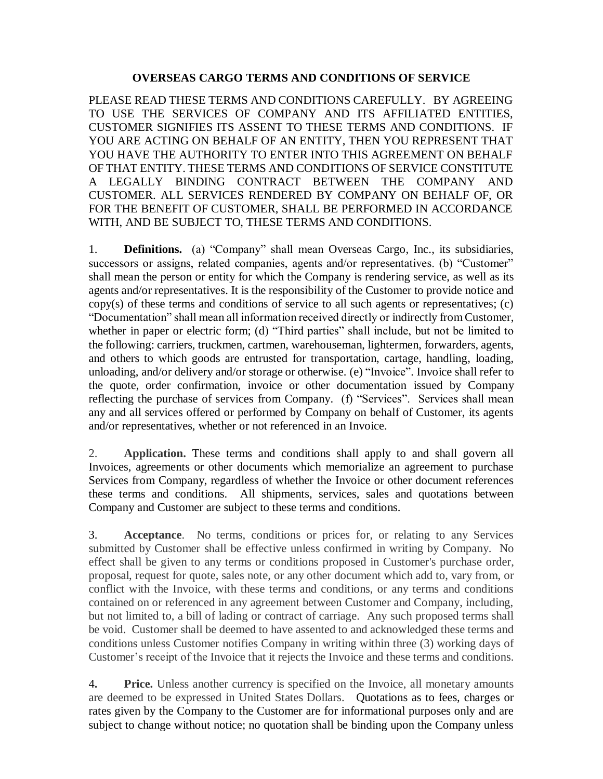## **OVERSEAS CARGO TERMS AND CONDITIONS OF SERVICE**

PLEASE READ THESE TERMS AND CONDITIONS CAREFULLY. BY AGREEING TO USE THE SERVICES OF COMPANY AND ITS AFFILIATED ENTITIES, CUSTOMER SIGNIFIES ITS ASSENT TO THESE TERMS AND CONDITIONS. IF YOU ARE ACTING ON BEHALF OF AN ENTITY, THEN YOU REPRESENT THAT YOU HAVE THE AUTHORITY TO ENTER INTO THIS AGREEMENT ON BEHALF OF THAT ENTITY. THESE TERMS AND CONDITIONS OF SERVICE CONSTITUTE A LEGALLY BINDING CONTRACT BETWEEN THE COMPANY AND CUSTOMER. ALL SERVICES RENDERED BY COMPANY ON BEHALF OF, OR FOR THE BENEFIT OF CUSTOMER, SHALL BE PERFORMED IN ACCORDANCE WITH, AND BE SUBJECT TO, THESE TERMS AND CONDITIONS.

1. **Definitions.** (a) "Company" shall mean Overseas Cargo, Inc., its subsidiaries, successors or assigns, related companies, agents and/or representatives. (b) "Customer" shall mean the person or entity for which the Company is rendering service, as well as its agents and/or representatives. It is the responsibility of the Customer to provide notice and copy(s) of these terms and conditions of service to all such agents or representatives; (c) "Documentation" shall mean all information received directly or indirectly from Customer, whether in paper or electric form; (d) "Third parties" shall include, but not be limited to the following: carriers, truckmen, cartmen, warehouseman, lightermen, forwarders, agents, and others to which goods are entrusted for transportation, cartage, handling, loading, unloading, and/or delivery and/or storage or otherwise. (e) "Invoice". Invoice shall refer to the quote, order confirmation, invoice or other documentation issued by Company reflecting the purchase of services from Company. (f) "Services". Services shall mean any and all services offered or performed by Company on behalf of Customer, its agents and/or representatives, whether or not referenced in an Invoice.

2. **Application.** These terms and conditions shall apply to and shall govern all Invoices, agreements or other documents which memorialize an agreement to purchase Services from Company, regardless of whether the Invoice or other document references these terms and conditions. All shipments, services, sales and quotations between Company and Customer are subject to these terms and conditions.

3. **Acceptance**. No terms, conditions or prices for, or relating to any Services submitted by Customer shall be effective unless confirmed in writing by Company. No effect shall be given to any terms or conditions proposed in Customer's purchase order, proposal, request for quote, sales note, or any other document which add to, vary from, or conflict with the Invoice, with these terms and conditions, or any terms and conditions contained on or referenced in any agreement between Customer and Company, including, but not limited to, a bill of lading or contract of carriage. Any such proposed terms shall be void. Customer shall be deemed to have assented to and acknowledged these terms and conditions unless Customer notifies Company in writing within three (3) working days of Customer's receipt of the Invoice that it rejects the Invoice and these terms and conditions.

4**. Price.** Unless another currency is specified on the Invoice, all monetary amounts are deemed to be expressed in United States Dollars. Quotations as to fees, charges or rates given by the Company to the Customer are for informational purposes only and are subject to change without notice; no quotation shall be binding upon the Company unless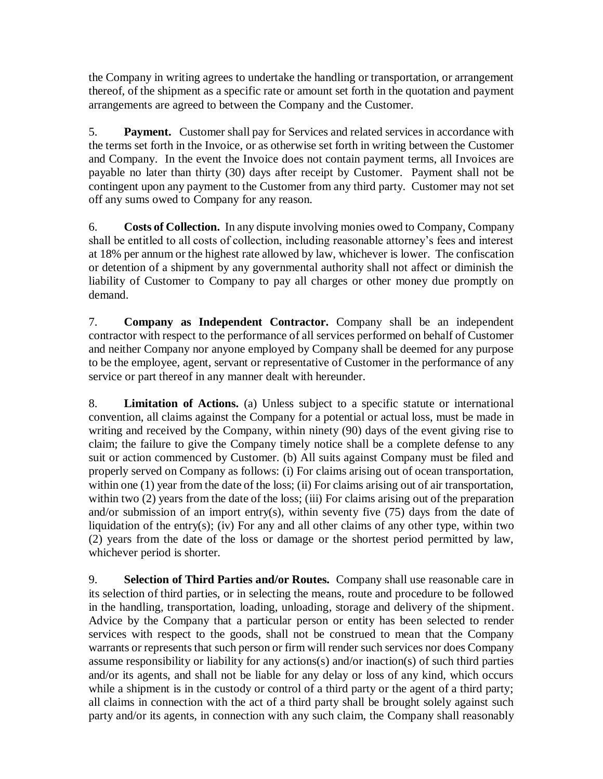the Company in writing agrees to undertake the handling or transportation, or arrangement thereof, of the shipment as a specific rate or amount set forth in the quotation and payment arrangements are agreed to between the Company and the Customer.

5. **Payment.** Customer shall pay for Services and related services in accordance with the terms set forth in the Invoice, or as otherwise set forth in writing between the Customer and Company. In the event the Invoice does not contain payment terms, all Invoices are payable no later than thirty (30) days after receipt by Customer. Payment shall not be contingent upon any payment to the Customer from any third party. Customer may not set off any sums owed to Company for any reason.

6. **Costs of Collection.** In any dispute involving monies owed to Company, Company shall be entitled to all costs of collection, including reasonable attorney's fees and interest at 18% per annum or the highest rate allowed by law, whichever is lower. The confiscation or detention of a shipment by any governmental authority shall not affect or diminish the liability of Customer to Company to pay all charges or other money due promptly on demand.

7. **Company as Independent Contractor.** Company shall be an independent contractor with respect to the performance of all services performed on behalf of Customer and neither Company nor anyone employed by Company shall be deemed for any purpose to be the employee, agent, servant or representative of Customer in the performance of any service or part thereof in any manner dealt with hereunder.

8. **Limitation of Actions.** (a) Unless subject to a specific statute or international convention, all claims against the Company for a potential or actual loss, must be made in writing and received by the Company, within ninety (90) days of the event giving rise to claim; the failure to give the Company timely notice shall be a complete defense to any suit or action commenced by Customer. (b) All suits against Company must be filed and properly served on Company as follows: (i) For claims arising out of ocean transportation, within one (1) year from the date of the loss; (ii) For claims arising out of air transportation, within two (2) years from the date of the loss; (iii) For claims arising out of the preparation and/or submission of an import entry(s), within seventy five (75) days from the date of liquidation of the entry(s); (iv) For any and all other claims of any other type, within two (2) years from the date of the loss or damage or the shortest period permitted by law, whichever period is shorter.

9. **Selection of Third Parties and/or Routes.** Company shall use reasonable care in its selection of third parties, or in selecting the means, route and procedure to be followed in the handling, transportation, loading, unloading, storage and delivery of the shipment. Advice by the Company that a particular person or entity has been selected to render services with respect to the goods, shall not be construed to mean that the Company warrants or represents that such person or firm will render such services nor does Company assume responsibility or liability for any actions(s) and/or inaction(s) of such third parties and/or its agents, and shall not be liable for any delay or loss of any kind, which occurs while a shipment is in the custody or control of a third party or the agent of a third party; all claims in connection with the act of a third party shall be brought solely against such party and/or its agents, in connection with any such claim, the Company shall reasonably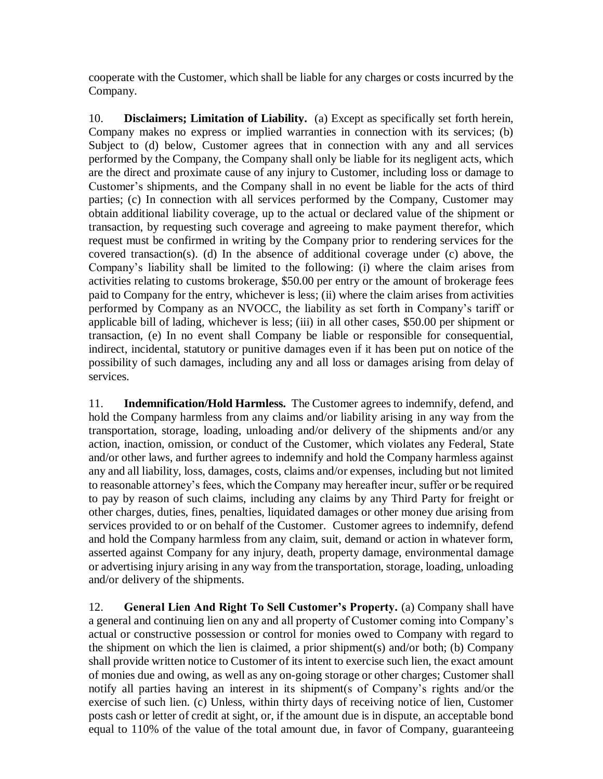cooperate with the Customer, which shall be liable for any charges or costs incurred by the Company.

10. **Disclaimers; Limitation of Liability.** (a) Except as specifically set forth herein, Company makes no express or implied warranties in connection with its services; (b) Subject to (d) below, Customer agrees that in connection with any and all services performed by the Company, the Company shall only be liable for its negligent acts, which are the direct and proximate cause of any injury to Customer, including loss or damage to Customer's shipments, and the Company shall in no event be liable for the acts of third parties; (c) In connection with all services performed by the Company, Customer may obtain additional liability coverage, up to the actual or declared value of the shipment or transaction, by requesting such coverage and agreeing to make payment therefor, which request must be confirmed in writing by the Company prior to rendering services for the covered transaction(s). (d) In the absence of additional coverage under (c) above, the Company's liability shall be limited to the following: (i) where the claim arises from activities relating to customs brokerage, \$50.00 per entry or the amount of brokerage fees paid to Company for the entry, whichever is less; (ii) where the claim arises from activities performed by Company as an NVOCC, the liability as set forth in Company's tariff or applicable bill of lading, whichever is less; (iii) in all other cases, \$50.00 per shipment or transaction, (e) In no event shall Company be liable or responsible for consequential, indirect, incidental, statutory or punitive damages even if it has been put on notice of the possibility of such damages, including any and all loss or damages arising from delay of services.

11. **Indemnification/Hold Harmless.** The Customer agrees to indemnify, defend, and hold the Company harmless from any claims and/or liability arising in any way from the transportation, storage, loading, unloading and/or delivery of the shipments and/or any action, inaction, omission, or conduct of the Customer, which violates any Federal, State and/or other laws, and further agrees to indemnify and hold the Company harmless against any and all liability, loss, damages, costs, claims and/or expenses, including but not limited to reasonable attorney's fees, which the Company may hereafter incur, suffer or be required to pay by reason of such claims, including any claims by any Third Party for freight or other charges, duties, fines, penalties, liquidated damages or other money due arising from services provided to or on behalf of the Customer. Customer agrees to indemnify, defend and hold the Company harmless from any claim, suit, demand or action in whatever form, asserted against Company for any injury, death, property damage, environmental damage or advertising injury arising in any way from the transportation, storage, loading, unloading and/or delivery of the shipments.

12. **General Lien And Right To Sell Customer's Property.** (a) Company shall have a general and continuing lien on any and all property of Customer coming into Company's actual or constructive possession or control for monies owed to Company with regard to the shipment on which the lien is claimed, a prior shipment(s) and/or both; (b) Company shall provide written notice to Customer of its intent to exercise such lien, the exact amount of monies due and owing, as well as any on-going storage or other charges; Customer shall notify all parties having an interest in its shipment(s of Company's rights and/or the exercise of such lien. (c) Unless, within thirty days of receiving notice of lien, Customer posts cash or letter of credit at sight, or, if the amount due is in dispute, an acceptable bond equal to 110% of the value of the total amount due, in favor of Company, guaranteeing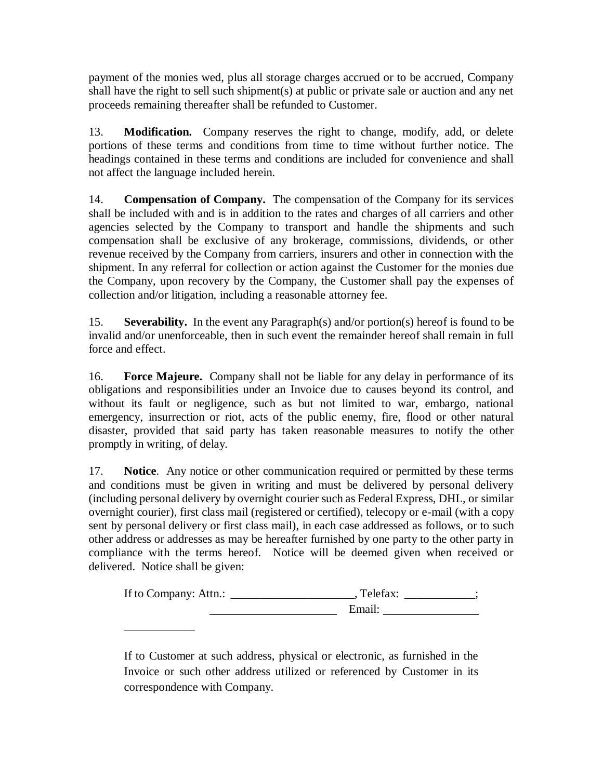payment of the monies wed, plus all storage charges accrued or to be accrued, Company shall have the right to sell such shipment(s) at public or private sale or auction and any net proceeds remaining thereafter shall be refunded to Customer.

13. **Modification.** Company reserves the right to change, modify, add, or delete portions of these terms and conditions from time to time without further notice. The headings contained in these terms and conditions are included for convenience and shall not affect the language included herein.

14. **Compensation of Company.** The compensation of the Company for its services shall be included with and is in addition to the rates and charges of all carriers and other agencies selected by the Company to transport and handle the shipments and such compensation shall be exclusive of any brokerage, commissions, dividends, or other revenue received by the Company from carriers, insurers and other in connection with the shipment. In any referral for collection or action against the Customer for the monies due the Company, upon recovery by the Company, the Customer shall pay the expenses of collection and/or litigation, including a reasonable attorney fee.

15. **Severability.** In the event any Paragraph(s) and/or portion(s) hereof is found to be invalid and/or unenforceable, then in such event the remainder hereof shall remain in full force and effect.

16. **Force Majeure.** Company shall not be liable for any delay in performance of its obligations and responsibilities under an Invoice due to causes beyond its control, and without its fault or negligence, such as but not limited to war, embargo, national emergency, insurrection or riot, acts of the public enemy, fire, flood or other natural disaster, provided that said party has taken reasonable measures to notify the other promptly in writing, of delay.

17. **Notice**. Any notice or other communication required or permitted by these terms and conditions must be given in writing and must be delivered by personal delivery (including personal delivery by overnight courier such as Federal Express, DHL, or similar overnight courier), first class mail (registered or certified), telecopy or e-mail (with a copy sent by personal delivery or first class mail), in each case addressed as follows, or to such other address or addresses as may be hereafter furnished by one party to the other party in compliance with the terms hereof. Notice will be deemed given when received or delivered. Notice shall be given:

| If to Company: Attn.: | Telefax: |
|-----------------------|----------|
|                       | Email:   |

If to Customer at such address, physical or electronic, as furnished in the Invoice or such other address utilized or referenced by Customer in its correspondence with Company.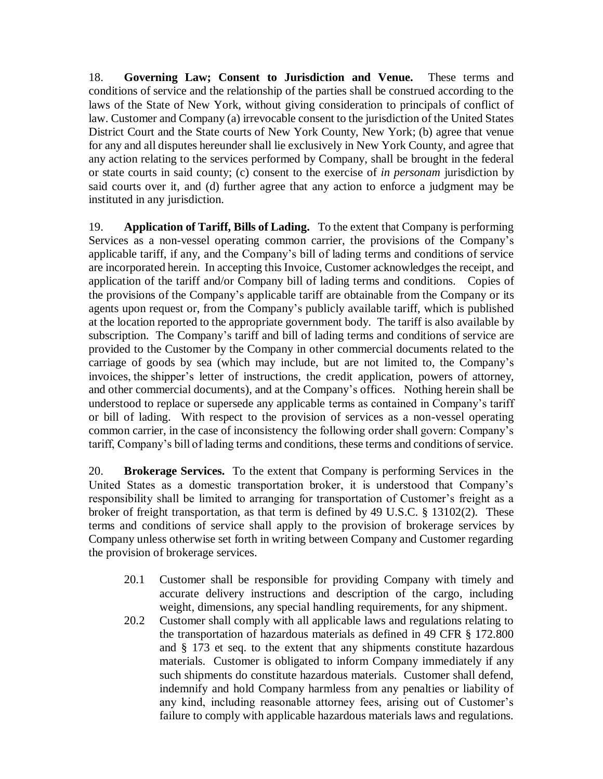18. **Governing Law; Consent to Jurisdiction and Venue.** These terms and conditions of service and the relationship of the parties shall be construed according to the laws of the State of New York, without giving consideration to principals of conflict of law. Customer and Company (a) irrevocable consent to the jurisdiction of the United States District Court and the State courts of New York County, New York; (b) agree that venue for any and all disputes hereunder shall lie exclusively in New York County, and agree that any action relating to the services performed by Company, shall be brought in the federal or state courts in said county; (c) consent to the exercise of *in personam* jurisdiction by said courts over it, and (d) further agree that any action to enforce a judgment may be instituted in any jurisdiction.

19. **Application of Tariff, Bills of Lading.** To the extent that Company is performing Services as a non-vessel operating common carrier, the provisions of the Company's applicable tariff, if any, and the Company's bill of lading terms and conditions of service are incorporated herein. In accepting this Invoice, Customer acknowledges the receipt, and application of the tariff and/or Company bill of lading terms and conditions. Copies of the provisions of the Company's applicable tariff are obtainable from the Company or its agents upon request or, from the Company's publicly available tariff, which is published at the location reported to the appropriate government body. The tariff is also available by subscription. The Company's tariff and bill of lading terms and conditions of service are provided to the Customer by the Company in other commercial documents related to the carriage of goods by sea (which may include, but are not limited to, the Company's invoices, the shipper's letter of instructions, the credit application, powers of attorney, and other commercial documents), and at the Company's offices. Nothing herein shall be understood to replace or supersede any applicable terms as contained in Company's tariff or bill of lading. With respect to the provision of services as a non-vessel operating common carrier, in the case of inconsistency the following order shall govern: Company's tariff, Company's bill of lading terms and conditions, these terms and conditions of service.

20. **Brokerage Services.** To the extent that Company is performing Services in the United States as a domestic transportation broker, it is understood that Company's responsibility shall be limited to arranging for transportation of Customer's freight as a broker of freight transportation, as that term is defined by 49 U.S.C. § 13102(2). These terms and conditions of service shall apply to the provision of brokerage services by Company unless otherwise set forth in writing between Company and Customer regarding the provision of brokerage services.

- 20.1 Customer shall be responsible for providing Company with timely and accurate delivery instructions and description of the cargo, including weight, dimensions, any special handling requirements, for any shipment.
- 20.2 Customer shall comply with all applicable laws and regulations relating to the transportation of hazardous materials as defined in 49 CFR § 172.800 and § 173 et seq. to the extent that any shipments constitute hazardous materials. Customer is obligated to inform Company immediately if any such shipments do constitute hazardous materials. Customer shall defend, indemnify and hold Company harmless from any penalties or liability of any kind, including reasonable attorney fees, arising out of Customer's failure to comply with applicable hazardous materials laws and regulations.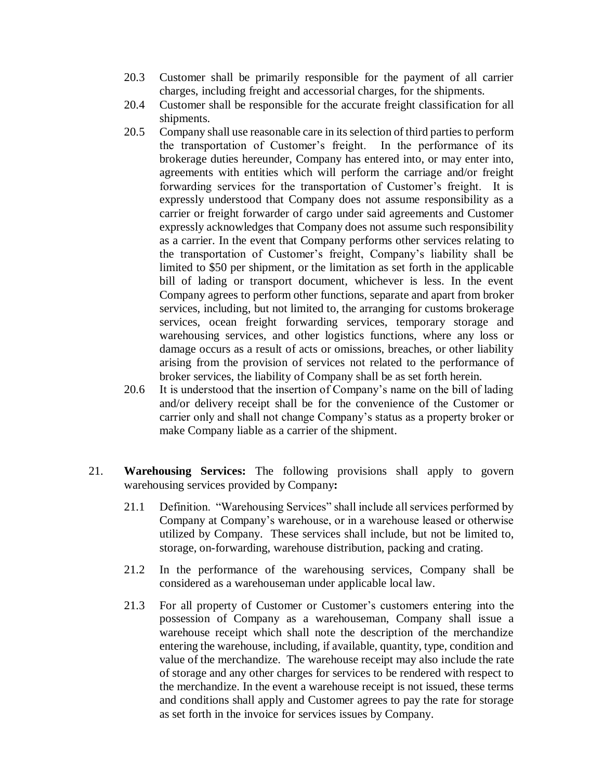- 20.3 Customer shall be primarily responsible for the payment of all carrier charges, including freight and accessorial charges, for the shipments.
- 20.4 Customer shall be responsible for the accurate freight classification for all shipments.
- 20.5 Company shall use reasonable care in its selection of third parties to perform the transportation of Customer's freight. In the performance of its brokerage duties hereunder, Company has entered into, or may enter into, agreements with entities which will perform the carriage and/or freight forwarding services for the transportation of Customer's freight. It is expressly understood that Company does not assume responsibility as a carrier or freight forwarder of cargo under said agreements and Customer expressly acknowledges that Company does not assume such responsibility as a carrier. In the event that Company performs other services relating to the transportation of Customer's freight, Company's liability shall be limited to \$50 per shipment, or the limitation as set forth in the applicable bill of lading or transport document, whichever is less. In the event Company agrees to perform other functions, separate and apart from broker services, including, but not limited to, the arranging for customs brokerage services, ocean freight forwarding services, temporary storage and warehousing services, and other logistics functions, where any loss or damage occurs as a result of acts or omissions, breaches, or other liability arising from the provision of services not related to the performance of broker services, the liability of Company shall be as set forth herein.
- 20.6 It is understood that the insertion of Company's name on the bill of lading and/or delivery receipt shall be for the convenience of the Customer or carrier only and shall not change Company's status as a property broker or make Company liable as a carrier of the shipment.
- 21. **Warehousing Services:** The following provisions shall apply to govern warehousing services provided by Company**:**
	- 21.1 Definition. "Warehousing Services" shall include all services performed by Company at Company's warehouse, or in a warehouse leased or otherwise utilized by Company. These services shall include, but not be limited to, storage, on-forwarding, warehouse distribution, packing and crating.
	- 21.2 In the performance of the warehousing services, Company shall be considered as a warehouseman under applicable local law.
	- 21.3 For all property of Customer or Customer's customers entering into the possession of Company as a warehouseman, Company shall issue a warehouse receipt which shall note the description of the merchandize entering the warehouse, including, if available, quantity, type, condition and value of the merchandize. The warehouse receipt may also include the rate of storage and any other charges for services to be rendered with respect to the merchandize. In the event a warehouse receipt is not issued, these terms and conditions shall apply and Customer agrees to pay the rate for storage as set forth in the invoice for services issues by Company.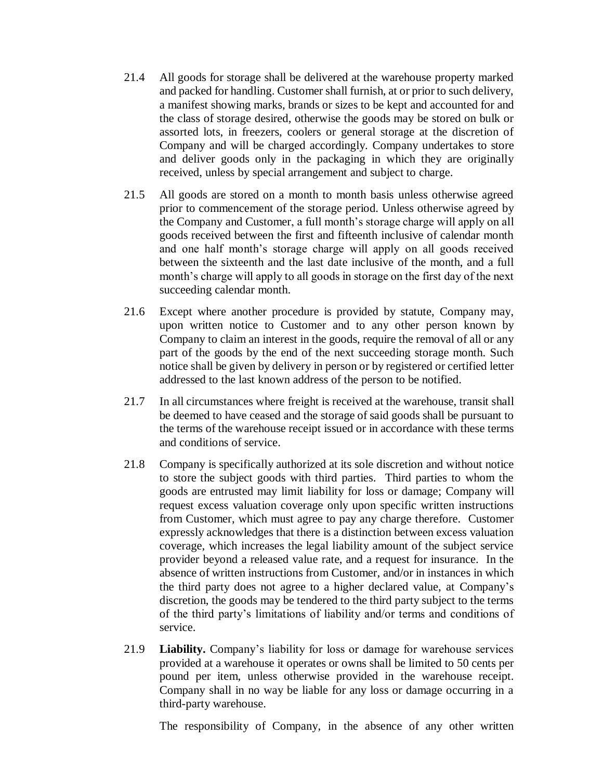- 21.4 All goods for storage shall be delivered at the warehouse property marked and packed for handling. Customer shall furnish, at or prior to such delivery, a manifest showing marks, brands or sizes to be kept and accounted for and the class of storage desired, otherwise the goods may be stored on bulk or assorted lots, in freezers, coolers or general storage at the discretion of Company and will be charged accordingly. Company undertakes to store and deliver goods only in the packaging in which they are originally received, unless by special arrangement and subject to charge.
- 21.5 All goods are stored on a month to month basis unless otherwise agreed prior to commencement of the storage period. Unless otherwise agreed by the Company and Customer, a full month's storage charge will apply on all goods received between the first and fifteenth inclusive of calendar month and one half month's storage charge will apply on all goods received between the sixteenth and the last date inclusive of the month, and a full month's charge will apply to all goods in storage on the first day of the next succeeding calendar month.
- 21.6 Except where another procedure is provided by statute, Company may, upon written notice to Customer and to any other person known by Company to claim an interest in the goods, require the removal of all or any part of the goods by the end of the next succeeding storage month. Such notice shall be given by delivery in person or by registered or certified letter addressed to the last known address of the person to be notified.
- 21.7 In all circumstances where freight is received at the warehouse, transit shall be deemed to have ceased and the storage of said goods shall be pursuant to the terms of the warehouse receipt issued or in accordance with these terms and conditions of service.
- 21.8 Company is specifically authorized at its sole discretion and without notice to store the subject goods with third parties. Third parties to whom the goods are entrusted may limit liability for loss or damage; Company will request excess valuation coverage only upon specific written instructions from Customer, which must agree to pay any charge therefore. Customer expressly acknowledges that there is a distinction between excess valuation coverage, which increases the legal liability amount of the subject service provider beyond a released value rate, and a request for insurance. In the absence of written instructions from Customer, and/or in instances in which the third party does not agree to a higher declared value, at Company's discretion, the goods may be tendered to the third party subject to the terms of the third party's limitations of liability and/or terms and conditions of service.
- 21.9 **Liability.** Company's liability for loss or damage for warehouse services provided at a warehouse it operates or owns shall be limited to 50 cents per pound per item, unless otherwise provided in the warehouse receipt. Company shall in no way be liable for any loss or damage occurring in a third-party warehouse.

The responsibility of Company, in the absence of any other written